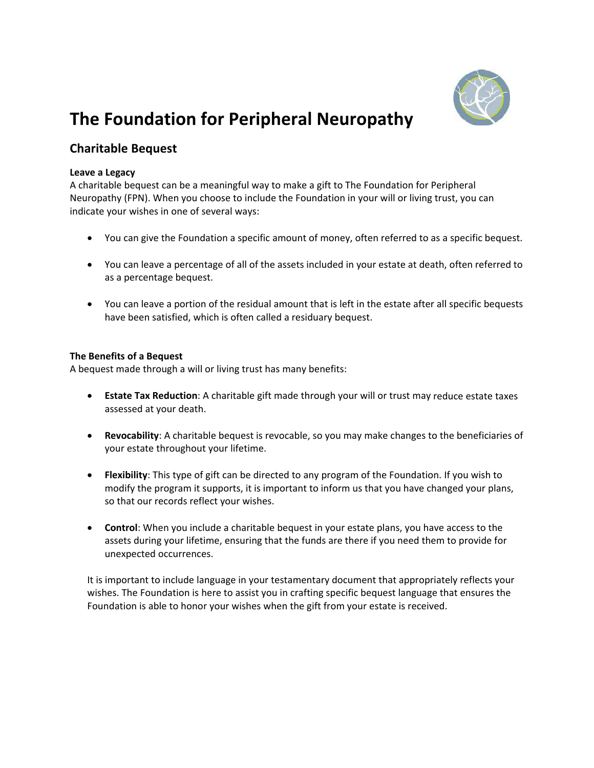

# **The Foundation for Peripheral Neuropathy**

## **Charitable Bequest**

#### **Leave a Legacy**

A charitable bequest can be a meaningful way to make a gift to The Foundation for Peripheral Neuropathy (FPN). When you choose to include the Foundation in your will or living trust, you can indicate your wishes in one of several ways:

- You can give the Foundation a specific amount of money, often referred to as a specific bequest.
- You can leave a percentage of all of the assets included in your estate at death, often referred to as a percentage bequest.
- You can leave a portion of the residual amount that is left in the estate after all specific bequests have been satisfied, which is often called a residuary bequest.

### **The Benefits of a Bequest**

A bequest made through a will or living trust has many benefits:

- **Estate Tax Reduction**: A charitable gift made through your will or trust may reduce estate taxes assessed at your death.
- **Revocability**: A charitable bequest is revocable, so you may make changes to the beneficiaries of your estate throughout your lifetime.
- **Flexibility**: This type of gift can be directed to any program of the Foundation. If you wish to modify the program it supports, it is important to inform us that you have changed your plans, so that our records reflect your wishes.
- **Control**: When you include a charitable bequest in your estate plans, you have access to the assets during your lifetime, ensuring that the funds are there if you need them to provide for unexpected occurrences.

It is important to include language in your testamentary document that appropriately reflects your wishes. The Foundation is here to assist you in crafting specific bequest language that ensures the Foundation is able to honor your wishes when the gift from your estate is received.